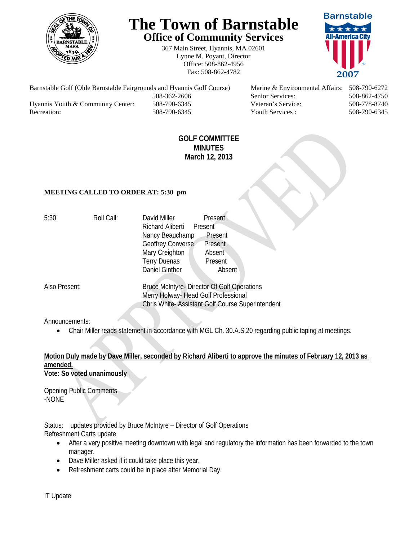

# **The Town of Barnstable Office of Community Services**

367 Main Street, Hyannis, MA 02601 Lynne M. Poyant, Director Office: 508-862-4956 Fax: 508-862-4782



Barnstable Golf (Olde Barnstable Fairgrounds and Hyannis Golf Course) Marine & Environmental Affairs: 508-790-6272 Hyannis Youth & Community Center: 508-790-6345 Veteran's Service: 508-778-8740 Recreation: 508-790-6345 Youth Services : 508-790-6345 S08-790-6345

508-362-2606 Senior Services: 508-862-4750

## **GOLF COMMITTEE MINUTES March 12, 2013**

### **MEETING CALLED TO ORDER AT: 5:30 pm**

| 5:30          | Roll Call: | David Miller                                       | Present |
|---------------|------------|----------------------------------------------------|---------|
|               |            | Richard Aliberti Present                           |         |
|               |            | Nancy Beauchamp                                    | Present |
|               |            | Geoffrey Converse                                  | Present |
|               |            | Mary Creighton                                     | Absent  |
|               |            | <b>Terry Duenas</b>                                | Present |
|               |            | <b>Daniel Ginther</b>                              | Absent  |
| Also Present: |            | <b>Bruce McIntyre- Director Of Golf Operations</b> |         |
|               |            | Merry Holway- Head Golf Professional               |         |
|               |            | Chris White-Assistant Golf Course Superintendent   |         |

Announcements:

Chair Miller reads statement in accordance with MGL Ch. 30.A.S.20 regarding public taping at meetings.

#### **Motion Duly made by Dave Miller, seconded by Richard Aliberti to approve the minutes of February 12, 2013 as amended. Vote: So voted unanimously**

Opening Public Comments -NONE

Status: updates provided by Bruce McIntyre – Director of Golf Operations Refreshment Carts update

- After a very positive meeting downtown with legal and regulatory the information has been forwarded to the town manager.
- Dave Miller asked if it could take place this year.
- Refreshment carts could be in place after Memorial Day.

IT Update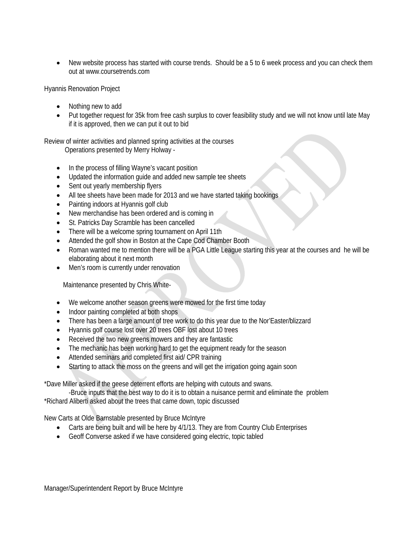New website process has started with course trends. Should be a 5 to 6 week process and you can check them out at www.coursetrends.com

Hyannis Renovation Project

- Nothing new to add
- Put together request for 35k from free cash surplus to cover feasibility study and we will not know until late May if it is approved, then we can put it out to bid

Review of winter activities and planned spring activities at the courses Operations presented by Merry Holway -

- In the process of filling Wayne's vacant position
- Updated the information guide and added new sample tee sheets
- Sent out yearly membership flyers
- All tee sheets have been made for 2013 and we have started taking bookings
- Painting indoors at Hyannis golf club
- New merchandise has been ordered and is coming in
- St. Patricks Day Scramble has been cancelled
- There will be a welcome spring tournament on April 11th
- Attended the golf show in Boston at the Cape Cod Chamber Booth
- Roman wanted me to mention there will be a PGA Little League starting this year at the courses and he will be elaborating about it next month
- Men's room is currently under renovation

Maintenance presented by Chris White-

- We welcome another season greens were mowed for the first time today
- Indoor painting completed at both shops
- There has been a large amount of tree work to do this year due to the Nor'Easter/blizzard
- Hyannis golf course lost over 20 trees OBF lost about 10 trees
- Received the two new greens mowers and they are fantastic
- The mechanic has been working hard to get the equipment ready for the season
- Attended seminars and completed first aid/ CPR training
- Starting to attack the moss on the greens and will get the irrigation going again soon

\*Dave Miller asked if the geese deterrent efforts are helping with cutouts and swans.

-Bruce inputs that the best way to do it is to obtain a nuisance permit and eliminate the problem \*Richard Aliberti asked about the trees that came down, topic discussed

New Carts at Olde Barnstable presented by Bruce McIntyre

- Carts are being built and will be here by 4/1/13. They are from Country Club Enterprises
- Geoff Converse asked if we have considered going electric, topic tabled

Manager/Superintendent Report by Bruce McIntyre